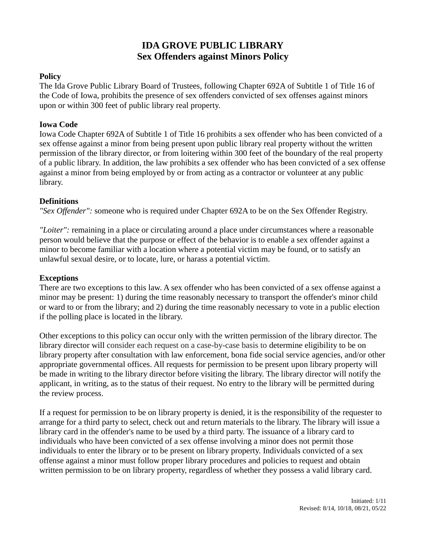# **IDA GROVE PUBLIC LIBRARY Sex Offenders against Minors Policy**

### **Policy**

The Ida Grove Public Library Board of Trustees, following Chapter 692A of Subtitle 1 of Title 16 of the Code of Iowa, prohibits the presence of sex offenders convicted of sex offenses against minors upon or within 300 feet of public library real property.

## **Iowa Code**

Iowa Code Chapter 692A of Subtitle 1 of Title 16 prohibits a sex offender who has been convicted of a sex offense against a minor from being present upon public library real property without the written permission of the library director, or from loitering within 300 feet of the boundary of the real property of a public library. In addition, the law prohibits a sex offender who has been convicted of a sex offense against a minor from being employed by or from acting as a contractor or volunteer at any public library.

## **Definitions**

*"Sex Offender":* someone who is required under Chapter 692A to be on the Sex Offender Registry.

*"Loiter":* remaining in a place or circulating around a place under circumstances where a reasonable person would believe that the purpose or effect of the behavior is to enable a sex offender against a minor to become familiar with a location where a potential victim may be found, or to satisfy an unlawful sexual desire, or to locate, lure, or harass a potential victim.

## **Exceptions**

There are two exceptions to this law. A sex offender who has been convicted of a sex offense against a minor may be present: 1) during the time reasonably necessary to transport the offender's minor child or ward to or from the library; and 2) during the time reasonably necessary to vote in a public election if the polling place is located in the library.

Other exceptions to this policy can occur only with the written permission of the library director. The library director will consider each request on a case-by-case basis to determine eligibility to be on library property after consultation with law enforcement, bona fide social service agencies, and/or other appropriate governmental offices. All requests for permission to be present upon library property will be made in writing to the library director before visiting the library. The library director will notify the applicant, in writing, as to the status of their request. No entry to the library will be permitted during the review process.

If a request for permission to be on library property is denied, it is the responsibility of the requester to arrange for a third party to select, check out and return materials to the library. The library will issue a library card in the offender's name to be used by a third party. The issuance of a library card to individuals who have been convicted of a sex offense involving a minor does not permit those individuals to enter the library or to be present on library property. Individuals convicted of a sex offense against a minor must follow proper library procedures and policies to request and obtain written permission to be on library property, regardless of whether they possess a valid library card.